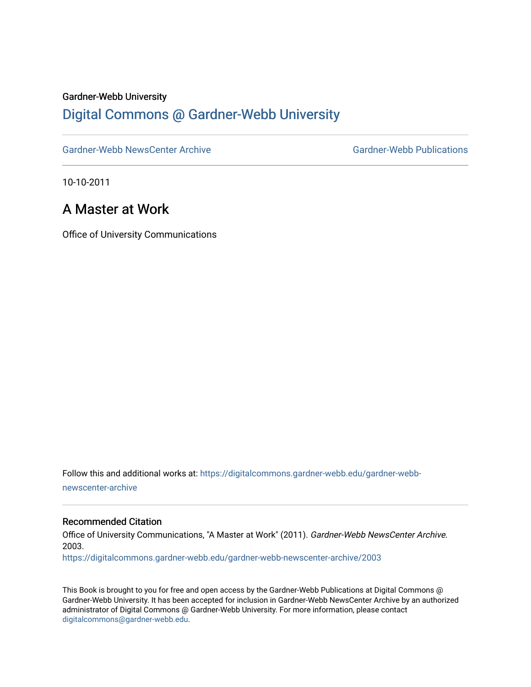#### Gardner-Webb University

### [Digital Commons @ Gardner-Webb University](https://digitalcommons.gardner-webb.edu/)

[Gardner-Webb NewsCenter Archive](https://digitalcommons.gardner-webb.edu/gardner-webb-newscenter-archive) Gardner-Webb Publications

10-10-2011

## A Master at Work

Office of University Communications

Follow this and additional works at: [https://digitalcommons.gardner-webb.edu/gardner-webb](https://digitalcommons.gardner-webb.edu/gardner-webb-newscenter-archive?utm_source=digitalcommons.gardner-webb.edu%2Fgardner-webb-newscenter-archive%2F2003&utm_medium=PDF&utm_campaign=PDFCoverPages)[newscenter-archive](https://digitalcommons.gardner-webb.edu/gardner-webb-newscenter-archive?utm_source=digitalcommons.gardner-webb.edu%2Fgardner-webb-newscenter-archive%2F2003&utm_medium=PDF&utm_campaign=PDFCoverPages)

### Recommended Citation

Office of University Communications, "A Master at Work" (2011). Gardner-Webb NewsCenter Archive. 2003.

[https://digitalcommons.gardner-webb.edu/gardner-webb-newscenter-archive/2003](https://digitalcommons.gardner-webb.edu/gardner-webb-newscenter-archive/2003?utm_source=digitalcommons.gardner-webb.edu%2Fgardner-webb-newscenter-archive%2F2003&utm_medium=PDF&utm_campaign=PDFCoverPages) 

This Book is brought to you for free and open access by the Gardner-Webb Publications at Digital Commons @ Gardner-Webb University. It has been accepted for inclusion in Gardner-Webb NewsCenter Archive by an authorized administrator of Digital Commons @ Gardner-Webb University. For more information, please contact [digitalcommons@gardner-webb.edu](mailto:digitalcommons@gardner-webb.edu).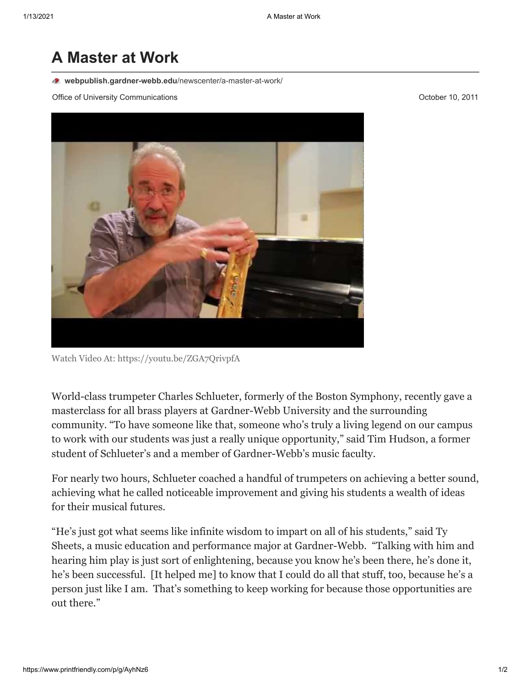# **A Master at Work**

**[webpublish.gardner-webb.edu](https://webpublish.gardner-webb.edu/newscenter/a-master-at-work/)**/newscenter/a-master-at-work/

Office of University Communications **October 10, 2011 October 10, 2011** 

Watch Video [At: https://youtu.be/ZGA7QrivpfA](https://youtu.be/ZGA7QrivpfA)

World-class trumpeter Charles Schlueter, formerly of the Boston Symphony, recently gave a masterclass for all brass players at Gardner-Webb University and the surrounding community. "To have someone like that, someone who's truly a living legend on our campus to work with our students was just a really unique opportunity," said Tim Hudson, a former student of Schlueter's and a member of Gardner-Webb's music faculty.

For nearly two hours, Schlueter coached a handful of trumpeters on achieving a better sound, achieving what he called noticeable improvement and giving his students a wealth of ideas for their musical futures.

"He's just got what seems like infinite wisdom to impart on all of his students," said Ty Sheets, a music education and performance major at Gardner-Webb. "Talking with him and hearing him play is just sort of enlightening, because you know he's been there, he's done it, he's been successful. [It helped me] to know that I could do all that stuff, too, because he's a person just like I am. That's something to keep working for because those opportunities are out there."